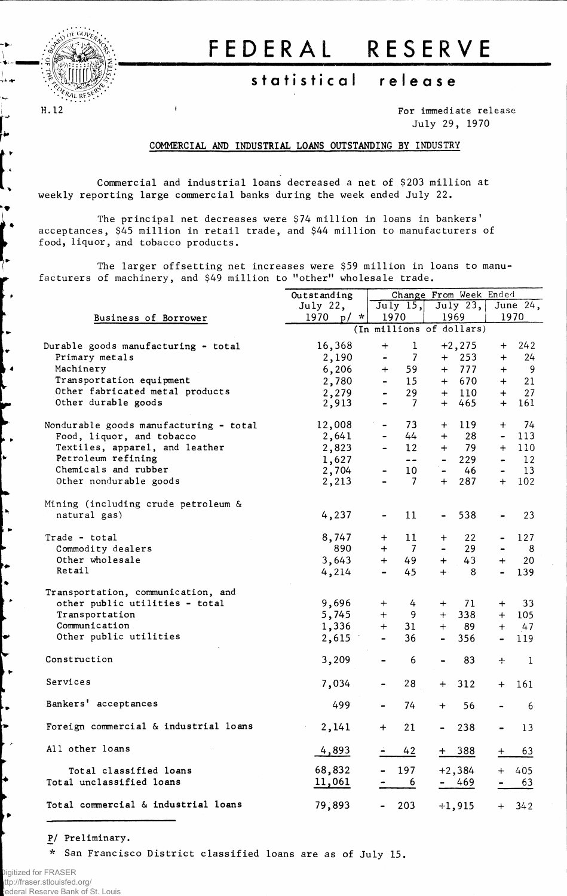

ι, ÷ ∙∲

┞

ļ.,

i e

١Ŋ L.

 $\bullet$ 

پا

l e

ò.

 $\mathbf{I}$ 

## **FEDERA L RESERV E**

## **statistica l releas e**

For immediate release July 29, 1970

## COMMERCIAL AND INDUSTRIAL LOANS OUTSTANDING BY INDUSTRY

Commercial and industrial loans decreased a net of \$203 million at weekly reporting large commercial banks during the week ended July 22.

The principal net decreases were \$74 million in loans in bankers' acceptances, \$45 million in retail trade, and \$44 million to manufacturers of food, liquor, and tobacco products.

The larger offsetting net increases were \$59 million in loans to manufacturers of machinery, and \$49 million to "other" wholesale trade.

|                                        | Outstanding              |                              | Change From Week Ended |                |            |                              |                |  |
|----------------------------------------|--------------------------|------------------------------|------------------------|----------------|------------|------------------------------|----------------|--|
|                                        | July $22,$               | $\overline{July}$ 15,        |                        |                | July $23,$ |                              | June 24,       |  |
| Business of Borrower                   | 1970 $p/$ *              | 1970<br>1969                 |                        |                |            | 1970                         |                |  |
|                                        | (In millions of dollars) |                              |                        |                |            |                              |                |  |
| Durable goods manufacturing - total    | 16,368                   | $\ddot{}$                    | $\mathbf{1}$           |                | $+2, 275$  | $+$                          | 242            |  |
| Primary metals                         | 2,190                    | $\blacksquare$               | -7                     |                | $+$ 253    | $+$                          | 24             |  |
| Machinery                              | 6,206                    | $+$                          | 59                     |                | $+$ 777    | $+$                          | $\overline{9}$ |  |
| Transportation equipment               | 2,780                    | $\frac{1}{2}$                | 15 <sub>1</sub>        |                | $+ 670$    | $+$                          | 21             |  |
| Other fabricated metal products        | 2,279                    | $\blacksquare$               | 29                     |                | $+$ 110    | $+$                          | 27             |  |
| Other durable goods                    | 2,913                    | $\blacksquare$               | - 7                    |                | $+ 465$    | $+$                          | 161            |  |
|                                        |                          |                              |                        |                |            |                              |                |  |
| Nondurable goods manufacturing - total | 12,008                   |                              | 73                     | $+$            | 119        | $^{+}$                       | 74             |  |
| Food, liquor, and tobacco              | 2,641                    | $\blacksquare$               | 44                     | $+$            | 28         | $\blacksquare$               | 113            |  |
| Textiles, apparel, and leather         | 2,823                    | $\frac{1}{2}$                | 12                     | $+$            | - 79       |                              | $+$ 110        |  |
| Petroleum refining                     | 1,627                    |                              | $- -$                  |                | 229        | $\qquad \qquad \blacksquare$ | 12             |  |
| Chemicals and rubber                   | 2,704                    | $\blacksquare$               | 10                     |                | $-46$      | $\blacksquare$               | 13             |  |
| Other nondurable goods                 | 2,213                    | $\blacksquare$               | 7                      | $+$            | 287        | $+$                          | 102            |  |
|                                        |                          |                              |                        |                |            |                              |                |  |
| Mining (including crude petroleum &    |                          |                              |                        |                |            |                              |                |  |
| natural gas)                           | 4,237                    |                              | 11                     |                | 538        |                              | 23             |  |
| Trade - total                          | 8,747                    | $+$                          | 11                     | $\mathrm{+}$   | 22         |                              | 127            |  |
| Commodity dealers                      | 890                      | $+$                          | $\overline{7}$         |                | 29         | $\blacksquare$               | - 8            |  |
| Other wholesale                        | 3,643                    | $+$                          | 49                     | $+$            | 43         | $+$                          | 20             |  |
| Retail                                 | 4,214                    |                              | 45                     | $+$            | 8          | $\blacksquare$               | 139            |  |
|                                        |                          |                              |                        |                |            |                              |                |  |
| Transportation, communication, and     |                          |                              |                        |                |            |                              |                |  |
| other public utilities - total         | 9,696                    | $+$                          | 4                      | $+$            | 71         | $+$                          | 33             |  |
| Transportation                         | 5,745                    | $+$                          | 9                      | $+$            | 338        | $+$                          | 105            |  |
| Communication                          | 1,336                    | $+$                          | 31                     | $+$            | 89         |                              | $+ 47$         |  |
| Other public utilities                 | 2,615                    | $\blacksquare$               | 36                     | $\blacksquare$ | 356        | $\blacksquare$               | 119            |  |
| Construction                           | 3,209                    | $\qquad \qquad \blacksquare$ | 6                      |                | 83         | ÷                            | $\mathbf 1$    |  |
|                                        |                          |                              |                        |                |            |                              |                |  |
| Services                               | 7,034                    | $\qquad \qquad \blacksquare$ | 28 <sub>1</sub>        | $+$            | 312        | $+$                          | 161            |  |
|                                        |                          |                              |                        |                |            |                              |                |  |
| Bankers' acceptances                   | 499                      |                              | 74                     | $+$            | 56         |                              | 6              |  |
| Foreign commercial & industrial loans  | 2,141                    | $\ddot{}$                    | 21                     | -              | 238        |                              | 13             |  |
|                                        |                          |                              |                        |                |            |                              |                |  |
| All other loans                        | 4,893                    |                              | 42                     |                | + 388      |                              | 63             |  |
| Total classified loans                 | 68,832                   |                              | 197                    |                | $+2,384$   | $+$                          | 405            |  |
| Total unclassified loans               | 11,061                   |                              | 6                      |                | 469        |                              | 63             |  |
|                                        |                          |                              |                        |                |            |                              |                |  |
| Total commercial & industrial loans    | 79,893                   |                              | 203                    |                | $+1,915$   | $+$                          | 342            |  |

P/ Preliminary .

\* San Francisco District classified loans are as of July 15.